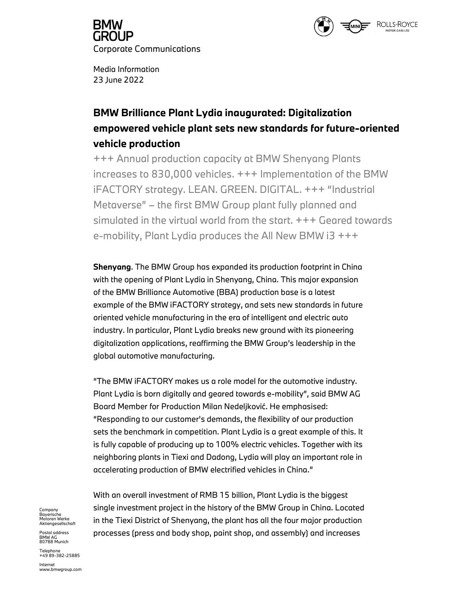

GROUP. Corporate Communications

Media Information 23 June 2022

# BMW Brilliance Plant Lydia inaugurated: Digitalization empowered vehicle plant sets new standards for future-oriented vehicle production

+++ Annual production capacity at BMW Shenyang Plants increases to 830,000 vehicles. +++ Implementation of the BMW iFACTORY strategy. LEAN. GREEN. DIGITAL. +++ "Industrial Metaverse" – the first BMW Group plant fully planned and simulated in the virtual world from the start. +++ Geared towards e-mobility, Plant Lydia produces the All New BMW i3 +++

Shenyang. The BMW Group has expanded its production footprint in China with the opening of Plant Lydia in Shenyang, China. This major expansion of the BMW Brilliance Automotive (BBA) production base is a latest example of the BMW iFACTORY strategy, and sets new standards in future oriented vehicle manufacturing in the era of intelligent and electric auto industry. In particular, Plant Lydia breaks new ground with its pioneering digitalization applications, reaffirming the BMW Group's leadership in the global automotive manufacturing.

"The BMW iFACTORY makes us a role model for the automotive industry. Plant Lydia is born digitally and geared towards e-mobility", said BMW AG Board Member for Production Milan Nedeljković. He emphasised: "Responding to our customer's demands, the flexibility of our production sets the benchmark in competition. Plant Lydia is a great example of this. It is fully capable of producing up to 100% electric vehicles. Together with its neighboring plants in Tiexi and Dadong, Lydia will play an important role in accelerating production of BMW electrified vehicles in China."

With an overall investment of RMB 15 billion, Plant Lydia is the biggest <sub>company</sub> single investment project in the history of the BMW Group in China. Located in the Tiexi District of Shenyang, the plant has all the four major production processes (press and body shop, paint shop, and assembly) and increases

Bayerische<br>Motoren Werke<br>Aktiengesellschaft<br>Postal address

BMW AG<br>80788 Munich

Telephone<br>+49 89-382-25885

<mark>lnternet</mark><br>www.bmwgroup.com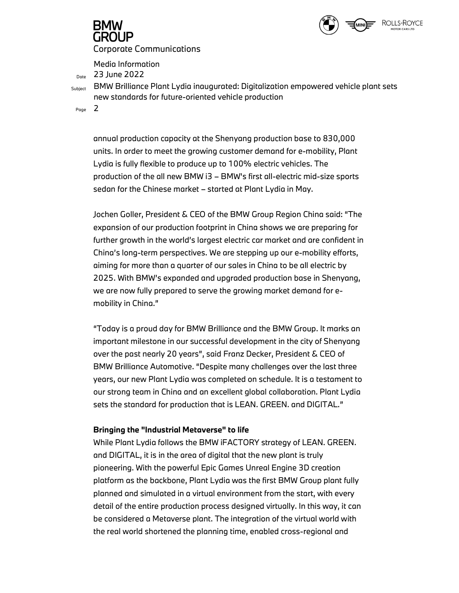

Media Information<br> $D_{\text{Dote}}$  23 June 2022

Subject BMW Brilliance Plant Lydia inaugurated: Digitalization empowered vehicle plant sets new standards for future-oriented vehicle production

Page 2

annual production capacity at the Shenyang production base to 830,000 units. In order to meet the growing customer demand for e-mobility, Plant Lydia is fully flexible to produce up to 100% electric vehicles. The production of the all new BMW i3 – BMW's first all-electric mid-size sports sedan for the Chinese market – started at Plant Lydia in May.

Jochen Goller, President & CEO of the BMW Group Region China said: "The expansion of our production footprint in China shows we are preparing for further growth in the world's largest electric car market and are confident in China's long-term perspectives. We are stepping up our e-mobility efforts, aiming for more than a quarter of our sales in China to be all electric by 2025. With BMW's expanded and upgraded production base in Shenyang, we are now fully prepared to serve the growing market demand for emobility in China."

"Today is a proud day for BMW Brilliance and the BMW Group. It marks an important milestone in our successful development in the city of Shenyang over the past nearly 20 years", said Franz Decker, President & CEO of BMW Brilliance Automotive. "Despite many challenges over the last three years, our new Plant Lydia was completed on schedule. It is a testament to our strong team in China and an excellent global collaboration. Plant Lydia sets the standard for production that is LEAN. GREEN. and DIGITAL."

# Bringing the "Industrial Metaverse" to life

While Plant Lydia follows the BMW iFACTORY strategy of LEAN. GREEN. and DIGITAL, it is in the area of digital that the new plant is truly pioneering. With the powerful Epic Games Unreal Engine 3D creation platform as the backbone, Plant Lydia was the first BMW Group plant fully planned and simulated in a virtual environment from the start, with every detail of the entire production process designed virtually. In this way, it can be considered a Metaverse plant. The integration of the virtual world with the real world shortened the planning time, enabled cross-regional and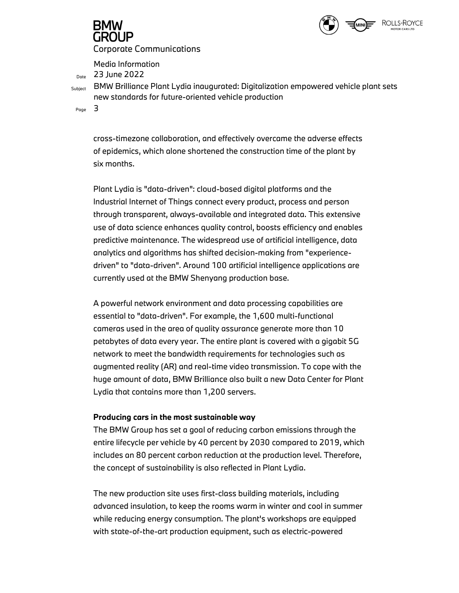

Media Information<br> $D_{\text{Dote}}$  23 June 2022

Subject BMW Brilliance Plant Lydia inaugurated: Digitalization empowered vehicle plant sets new standards for future-oriented vehicle production

Page 3

cross-timezone collaboration, and effectively overcame the adverse effects of epidemics, which alone shortened the construction time of the plant by six months.

Plant Lydia is "data-driven": cloud-based digital platforms and the Industrial Internet of Things connect every product, process and person through transparent, always-available and integrated data. This extensive use of data science enhances quality control, boosts efficiency and enables predictive maintenance. The widespread use of artificial intelligence, data analytics and algorithms has shifted decision-making from "experiencedriven" to "data-driven". Around 100 artificial intelligence applications are currently used at the BMW Shenyang production base.

A powerful network environment and data processing capabilities are essential to "data-driven". For example, the 1,600 multi-functional cameras used in the area of quality assurance generate more than 10 petabytes of data every year. The entire plant is covered with a gigabit 5G network to meet the bandwidth requirements for technologies such as augmented reality (AR) and real-time video transmission. To cope with the huge amount of data, BMW Brilliance also built a new Data Center for Plant Lydia that contains more than 1,200 servers.

# Producing cars in the most sustainable way

The BMW Group has set a goal of reducing carbon emissions through the entire lifecycle per vehicle by 40 percent by 2030 compared to 2019, which includes an 80 percent carbon reduction at the production level. Therefore, the concept of sustainability is also reflected in Plant Lydia.

The new production site uses first-class building materials, including advanced insulation, to keep the rooms warm in winter and cool in summer while reducing energy consumption. The plant's workshops are equipped with state-of-the-art production equipment, such as electric-powered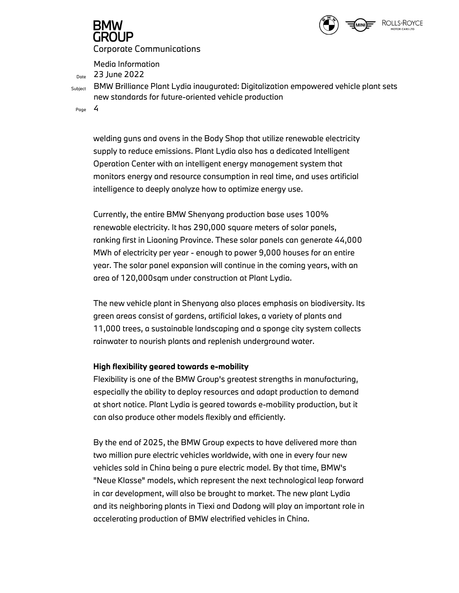

Media Information<br> $D_{\text{Dote}}$  23 June 2022

Subject BMW Brilliance Plant Lydia inaugurated: Digitalization empowered vehicle plant sets new standards for future-oriented vehicle production

Page 4

welding guns and ovens in the Body Shop that utilize renewable electricity supply to reduce emissions. Plant Lydia also has a dedicated Intelligent Operation Center with an intelligent energy management system that monitors energy and resource consumption in real time, and uses artificial intelligence to deeply analyze how to optimize energy use.

Currently, the entire BMW Shenyang production base uses 100% renewable electricity. It has 290,000 square meters of solar panels, ranking first in Liaoning Province. These solar panels can generate 44,000 MWh of electricity per year - enough to power 9,000 houses for an entire year. The solar panel expansion will continue in the coming years, with an area of 120,000sqm under construction at Plant Lydia.

The new vehicle plant in Shenyang also places emphasis on biodiversity. Its green areas consist of gardens, artificial lakes, a variety of plants and 11,000 trees, a sustainable landscaping and a sponge city system collects rainwater to nourish plants and replenish underground water.

# High flexibility geared towards e-mobility

Flexibility is one of the BMW Group's greatest strengths in manufacturing, especially the ability to deploy resources and adapt production to demand at short notice. Plant Lydia is geared towards e-mobility production, but it can also produce other models flexibly and efficiently.

By the end of 2025, the BMW Group expects to have delivered more than two million pure electric vehicles worldwide, with one in every four new vehicles sold in China being a pure electric model. By that time, BMW's "Neue Klasse" models, which represent the next technological leap forward in car development, will also be brought to market. The new plant Lydia and its neighboring plants in Tiexi and Dadong will play an important role in accelerating production of BMW electrified vehicles in China.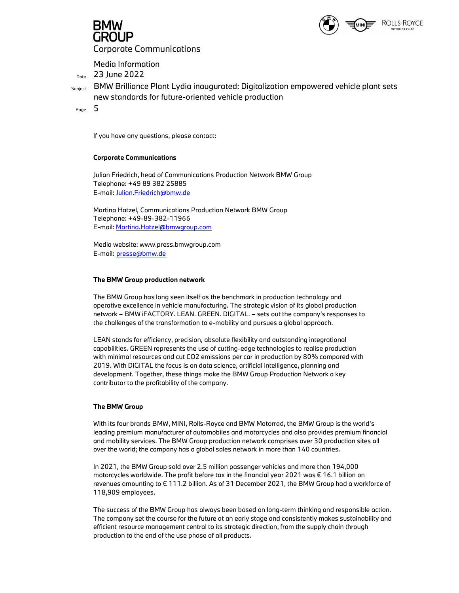



Media Information<br> $D_{\text{Dore}}$  23 June 2022

<sub>Subiect</sub> BMW Brilliance Plant Lydia inaugurated: Digitalization empowered vehicle plant sets new standards for future-oriented vehicle production

Page  $5$ 

If you have any questions, please contact:

### Corporate Communications

Julian Friedrich, head of Communications Production Network BMW Group Telephone: +49 89 382 25885 E-mail: Julian.Friedrich@bmw.de

Martina Hatzel, Communications Production Network BMW Group Telephone: +49-89-382-11966 E-mail: <u>Martina.Hatzel@bmwgroup.com</u><br>Media website: www.press.bmwgroup.com

E-mail: presse@bmw.de

### The BMW Group production network

The BMW Group has long seen itself as the benchmark in production technology and operative excellence in vehicle manufacturing. The strategic vision of its global production network – BMW iFACTORY. LEAN. GREEN. DIGITAL. – sets out the company's responses to the challenges of the transformation to e-mobility and pursues a global approach.

LEAN stands for efficiency, precision, absolute flexibility and outstanding integrational capabilities. GREEN represents the use of cutting-edge technologies to realise production with minimal resources and cut CO2 emissions per car in production by 80% compared with 2019. With DIGITAL the focus is on data science, artificial intelligence, planning and development. Together, these things make the BMW Group Production Network a key contributor to the profitability of the company.

### The BMW Group

With its four brands BMW, MINI, Rolls-Royce and BMW Motorrad, the BMW Group is the world's leading premium manufacturer of automobiles and motorcycles and also provides premium financial and mobility services. The BMW Group production network comprises over 30 production sites all over the world; the company has a global sales network in more than 140 countries.

In 2021, the BMW Group sold over 2.5 million passenger vehicles and more than 194,000 motorcycles worldwide. The profit before tax in the financial year 2021 was € 16.1 billion on revenues amounting to € 111.2 billion. As of 31 December 2021, the BMW Group had a workforce of 118,909 employees.

The success of the BMW Group has always been based on long-term thinking and responsible action. The company set the course for the future at an early stage and consistently makes sustainability and efficient resource management central to its strategic direction, from the supply chain through production to the end of the use phase of all products.